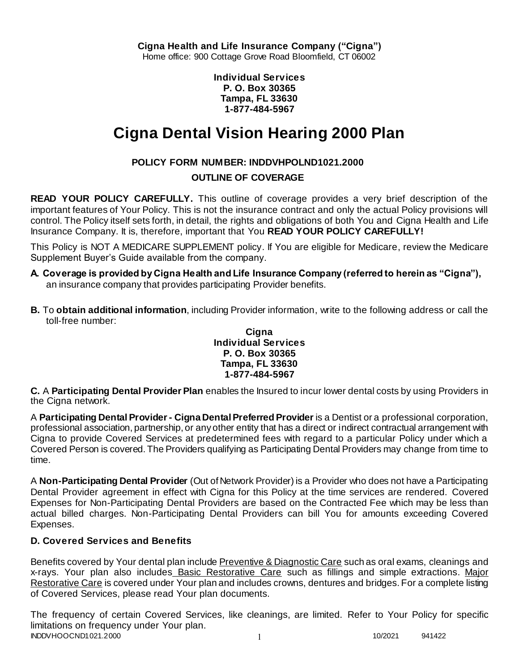**Individual Services P. O. Box 30365 Tampa, FL 33630 1-877-484-5967**

# **Cigna Dental Vision Hearing 2000 Plan**

# **POLICY FORM NUMBER: INDDVHPOLND1021.2000**

## **OUTLINE OF COVERAGE**

**READ YOUR POLICY CAREFULLY.** This outline of coverage provides a very brief description of the important features of Your Policy. This is not the insurance contract and only the actual Policy provisions will control. The Policy itself sets forth, in detail, the rights and obligations of both You and Cigna Health and Life Insurance Company. It is, therefore, important that You **READ YOUR POLICY CAREFULLY!** 

This Policy is NOT A MEDICARE SUPPLEMENT policy. If You are eligible for Medicare, review the Medicare Supplement Buyer's Guide available from the company.

- **A. Coverage is provided by Cigna Health and Life Insurance Company (referred to herein as "Cigna"),**  an insurance company that provides participating Provider benefits.
- **B.** To **obtain additional information**, including Provider information, write to the following address or call the toll-free number:

#### **Cigna Individual Services P. O. Box 30365 Tampa, FL 33630 1-877-484-5967**

**C.** A **Participating Dental Provider Plan** enables the Insured to incur lower dental costs by using Providers in the Cigna network.

A **Participating Dental Provider - Cigna Dental Preferred Provider** is a Dentist or a professional corporation, professional association, partnership, or any other entity that has a direct or indirect contractual arrangement with Cigna to provide Covered Services at predetermined fees with regard to a particular Policy under which a Covered Person is covered. The Providers qualifying as Participating Dental Providers may change from time to time.

A **Non-Participating Dental Provider** (Out of Network Provider) is a Provider who does not have a Participating Dental Provider agreement in effect with Cigna for this Policy at the time services are rendered. Covered Expenses for Non-Participating Dental Providers are based on the Contracted Fee which may be less than actual billed charges. Non-Participating Dental Providers can bill You for amounts exceeding Covered Expenses.

# **D. Covered Services and Benefits**

Benefits covered by Your dental plan include Preventive & Diagnostic Care such as oral exams, cleanings and x-rays. Your plan also includes Basic Restorative Care such as fillings and simple extractions. Major Restorative Care is covered under Your plan and includes crowns, dentures and bridges. For a complete listing of Covered Services, please read Your plan documents.

INDDVHOOCND1021.2000 1 10/2021 941422 The frequency of certain Covered Services, like cleanings, are limited. Refer to Your Policy for specific limitations on frequency under Your plan.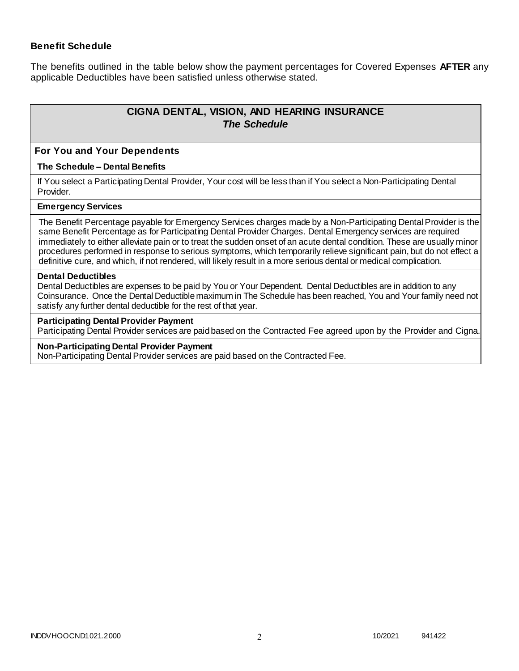### **Benefit Schedule**

The benefits outlined in the table below show the payment percentages for Covered Expenses **AFTER** any applicable Deductibles have been satisfied unless otherwise stated.

# **CIGNA DENTAL, VISION, AND HEARING INSURANCE** *The Schedule*

#### **For You and Your Dependents**

#### **The Schedule – Dental Benefits**

If You select a Participating Dental Provider, Your cost will be less than if You select a Non-Participating Dental Provider.

#### **Emergency Services**

The Benefit Percentage payable for Emergency Services charges made by a Non-Participating Dental Provider is the same Benefit Percentage as for Participating Dental Provider Charges. Dental Emergency services are required immediately to either alleviate pain or to treat the sudden onset of an acute dental condition. These are usually minor procedures performed in response to serious symptoms, which temporarily relieve significant pain, but do not effect a definitive cure, and which, if not rendered, will likely result in a more serious dental or medical complication.

#### **Dental Deductibles**

Dental Deductibles are expenses to be paid by You or Your Dependent. Dental Deductibles are in addition to any Coinsurance. Once the Dental Deductible maximum in The Schedule has been reached, You and Your family need not satisfy any further dental deductible for the rest of that year.

#### **Participating Dental Provider Payment**

Participating Dental Provider services are paid based on the Contracted Fee agreed upon by the Provider and Cigna.

#### **Non-Participating Dental Provider Payment**

Non-Participating Dental Provider services are paid based on the Contracted Fee.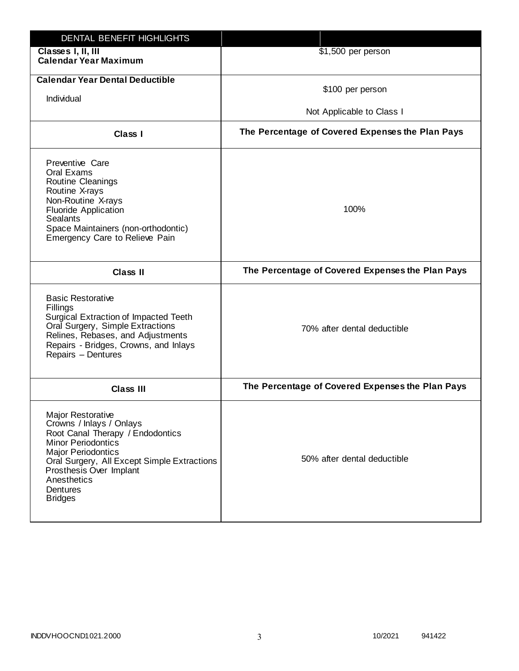| DENTAL BENEFIT HIGHLIGHTS                                                                                                                                                                                                                                                 |                                                  |
|---------------------------------------------------------------------------------------------------------------------------------------------------------------------------------------------------------------------------------------------------------------------------|--------------------------------------------------|
| Classes I, II, III<br><b>Calendar Year Maximum</b>                                                                                                                                                                                                                        | \$1,500 per person                               |
| <b>Calendar Year Dental Deductible</b><br>Individual                                                                                                                                                                                                                      | \$100 per person<br>Not Applicable to Class I    |
| <b>Class I</b>                                                                                                                                                                                                                                                            | The Percentage of Covered Expenses the Plan Pays |
| Preventive Care<br>Oral Exams<br>Routine Cleanings<br>Routine X-rays<br>Non-Routine X-rays<br><b>Fluoride Application</b><br><b>Sealants</b><br>Space Maintainers (non-orthodontic)<br>Emergency Care to Relieve Pain                                                     | 100%                                             |
| <b>Class II</b>                                                                                                                                                                                                                                                           | The Percentage of Covered Expenses the Plan Pays |
| <b>Basic Restorative</b><br>Fillings<br>Surgical Extraction of Impacted Teeth<br>Oral Surgery, Simple Extractions<br>Relines, Rebases, and Adjustments<br>Repairs - Bridges, Crowns, and Inlays<br>Repairs - Dentures                                                     | 70% after dental deductible                      |
| <b>Class III</b>                                                                                                                                                                                                                                                          | The Percentage of Covered Expenses the Plan Pays |
| <b>Major Restorative</b><br>Crowns / Inlays / Onlays<br>Root Canal Therapy / Endodontics<br><b>Minor Periodontics</b><br><b>Major Periodontics</b><br>Oral Surgery, All Except Simple Extractions<br>Prosthesis Over Implant<br>Anesthetics<br>Dentures<br><b>Bridges</b> | 50% after dental deductible                      |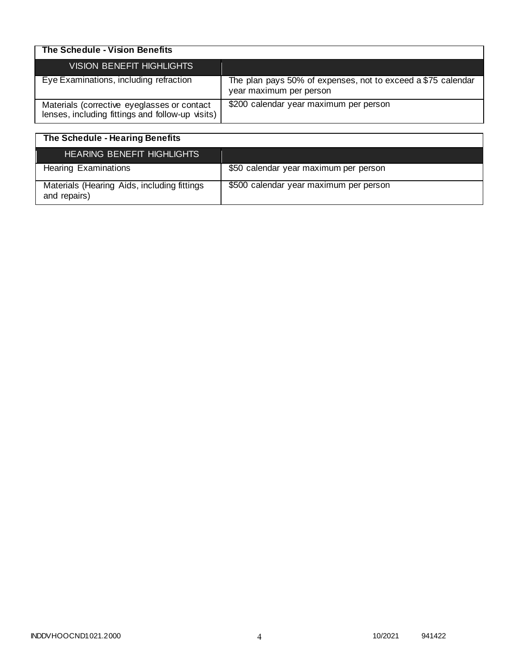| The Schedule - Vision Benefits                                                                  |                                                                                         |
|-------------------------------------------------------------------------------------------------|-----------------------------------------------------------------------------------------|
| VISION BENEFIT HIGHLIGHTS                                                                       |                                                                                         |
| Eye Examinations, including refraction                                                          | The plan pays 50% of expenses, not to exceed a \$75 calendar<br>year maximum per person |
| Materials (corrective eyeglasses or contact<br>lenses, including fittings and follow-up visits) | \$200 calendar year maximum per person                                                  |

| The Schedule - Hearing Benefits                             |                                        |
|-------------------------------------------------------------|----------------------------------------|
| <b>HEARING BENEFIT HIGHLIGHTS</b>                           |                                        |
| <b>Hearing Examinations</b>                                 | \$50 calendar year maximum per person  |
| Materials (Hearing Aids, including fittings<br>and repairs) | \$500 calendar year maximum per person |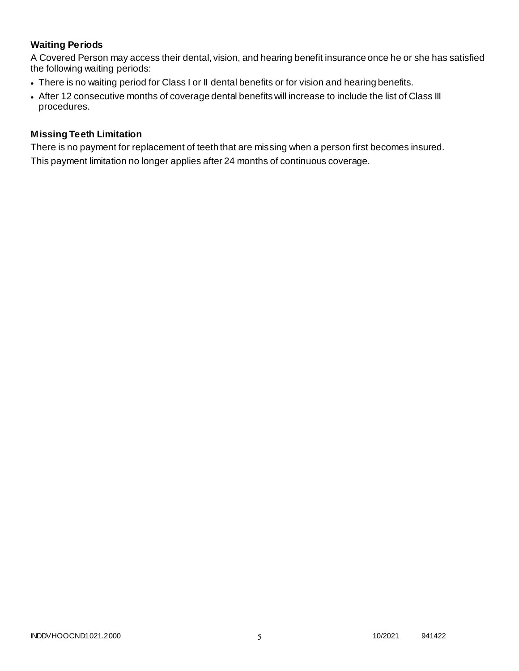# **Waiting Periods**

A Covered Person may access their dental, vision, and hearing benefit insurance once he or she has satisfied the following waiting periods:

- There is no waiting period for Class I or II dental benefits or for vision and hearing benefits.
- After 12 consecutive months of coverage dental benefits will increase to include the list of Class III procedures.

### **Missing Teeth Limitation**

There is no payment for replacement of teeth that are missing when a person first becomes insured. This payment limitation no longer applies after 24 months of continuous coverage.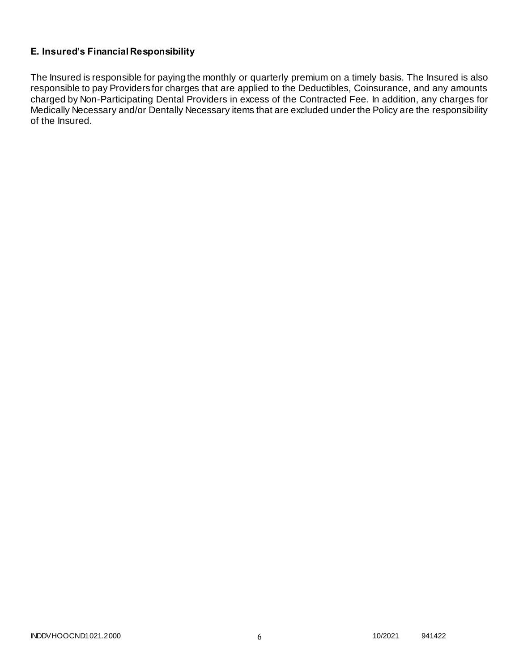## **E. Insured's Financial Responsibility**

The Insured is responsible for paying the monthly or quarterly premium on a timely basis. The Insured is also responsible to pay Providers for charges that are applied to the Deductibles, Coinsurance, and any amounts charged by Non-Participating Dental Providers in excess of the Contracted Fee. In addition, any charges for Medically Necessary and/or Dentally Necessary items that are excluded under the Policy are the responsibility of the Insured.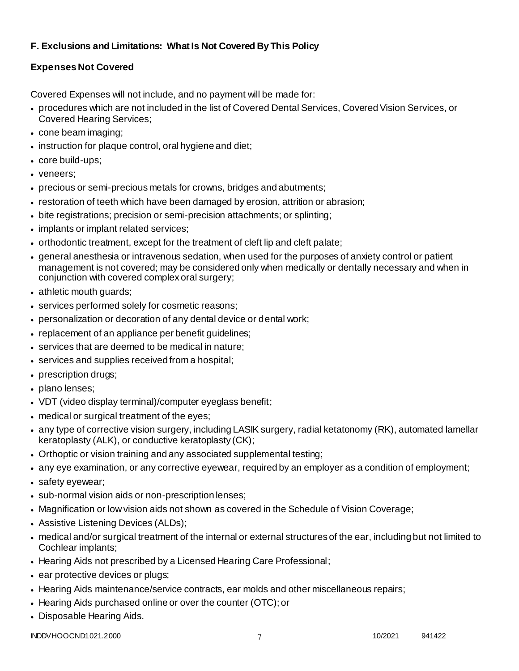# **F. Exclusions and Limitations: What Is Not Covered By This Policy**

# **Expenses Not Covered**

Covered Expenses will not include, and no payment will be made for:

- procedures which are not included in the list of Covered Dental Services, Covered Vision Services, or Covered Hearing Services;
- cone beam imaging;
- instruction for plaque control, oral hygiene and diet;
- core build-ups;
- veneers;
- precious or semi-precious metals for crowns, bridges and abutments;
- restoration of teeth which have been damaged by erosion, attrition or abrasion;
- bite registrations; precision or semi-precision attachments; or splinting;
- implants or implant related services;
- orthodontic treatment, except for the treatment of cleft lip and cleft palate;
- general anesthesia or intravenous sedation, when used for the purposes of anxiety control or patient management is not covered; may be considered only when medically or dentally necessary and when in conjunction with covered complex oral surgery;
- athletic mouth guards;
- services performed solely for cosmetic reasons;
- personalization or decoration of any dental device or dental work;
- replacement of an appliance per benefit guidelines;
- services that are deemed to be medical in nature;
- services and supplies received from a hospital;
- prescription drugs;
- plano lenses:
- VDT (video display terminal)/computer eyeglass benefit;
- medical or surgical treatment of the eyes;
- any type of corrective vision surgery, including LASIK surgery, radial ketatonomy (RK), automated lamellar keratoplasty (ALK), or conductive keratoplasty (CK);
- Orthoptic or vision training and any associated supplemental testing;
- any eye examination, or any corrective eyewear, required by an employer as a condition of employment;
- safety eyewear;
- sub-normal vision aids or non-prescription lenses;
- Magnification or low vision aids not shown as covered in the Schedule of Vision Coverage;
- Assistive Listening Devices (ALDs);
- medical and/or surgical treatment of the internal or external structures of the ear, including but not limited to Cochlear implants;
- Hearing Aids not prescribed by a Licensed Hearing Care Professional;
- ear protective devices or plugs;
- Hearing Aids maintenance/service contracts, ear molds and other miscellaneous repairs;
- Hearing Aids purchased online or over the counter (OTC); or
- Disposable Hearing Aids.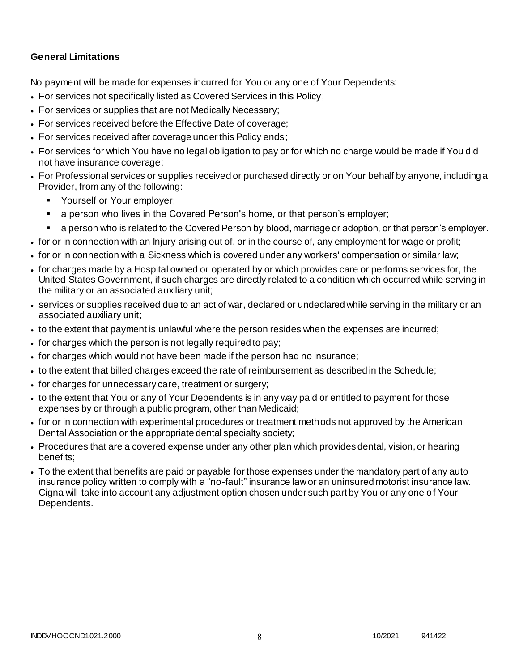### **General Limitations**

No payment will be made for expenses incurred for You or any one of Your Dependents:

- For services not specifically listed as Covered Services in this Policy;
- For services or supplies that are not Medically Necessary;
- For services received before the Effective Date of coverage;
- For services received after coverage under this Policy ends;
- For services for which You have no legal obligation to pay or for which no charge would be made if You did not have insurance coverage;
- For Professional services or supplies received or purchased directly or on Your behalf by anyone, including a Provider, from any of the following:
	- **Yourself or Your employer;**
	- a person who lives in the Covered Person's home, or that person's employer;
	- a person who is related to the Covered Person by blood, marriage or adoption, or that person's employer.
- for or in connection with an Injury arising out of, or in the course of, any employment for wage or profit;
- for or in connection with a Sickness which is covered under any workers' compensation or similar law;
- for charges made by a Hospital owned or operated by or which provides care or performs services for, the United States Government, if such charges are directly related to a condition which occurred while serving in the military or an associated auxiliary unit;
- services or supplies received due to an act of war, declared or undeclared while serving in the military or an associated auxiliary unit;
- to the extent that payment is unlawful where the person resides when the expenses are incurred;
- for charges which the person is not legally required to pay;
- for charges which would not have been made if the person had no insurance;
- to the extent that billed charges exceed the rate of reimbursement as described in the Schedule;
- for charges for unnecessary care, treatment or surgery;
- to the extent that You or any of Your Dependents is in any way paid or entitled to payment for those expenses by or through a public program, other than Medicaid;
- for or in connection with experimental procedures or treatment methods not approved by the American Dental Association or the appropriate dental specialty society;
- Procedures that are a covered expense under any other plan which provides dental, vision, or hearing benefits;
- To the extent that benefits are paid or payable for those expenses under the mandatory part of any auto insurance policy written to comply with a "no-fault" insurance law or an uninsured motorist insurance law. Cigna will take into account any adjustment option chosen under such part by You or any one o f Your Dependents.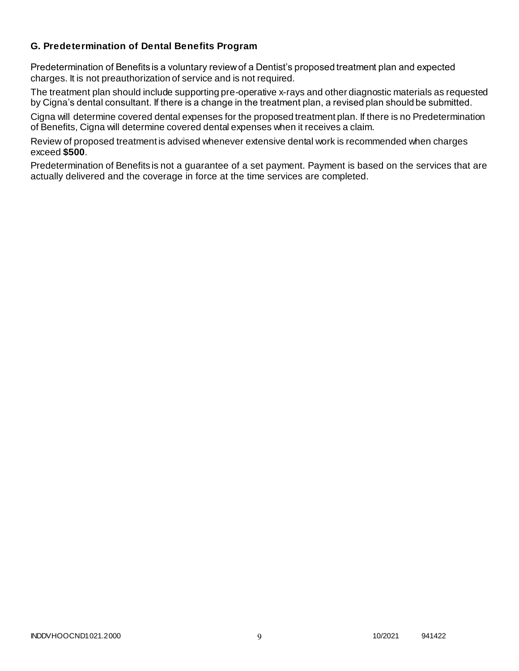### **G. Predetermination of Dental Benefits Program**

Predetermination of Benefits is a voluntary review of a Dentist's proposed treatment plan and expected charges. It is not preauthorization of service and is not required.

The treatment plan should include supporting pre-operative x-rays and other diagnostic materials as requested by Cigna's dental consultant. If there is a change in the treatment plan, a revised plan should be submitted.

Cigna will determine covered dental expenses for the proposed treatment plan. If there is no Predetermination of Benefits, Cigna will determine covered dental expenses when it receives a claim.

Review of proposed treatment is advised whenever extensive dental work is recommended when charges exceed **\$500**.

Predetermination of Benefits is not a guarantee of a set payment. Payment is based on the services that are actually delivered and the coverage in force at the time services are completed.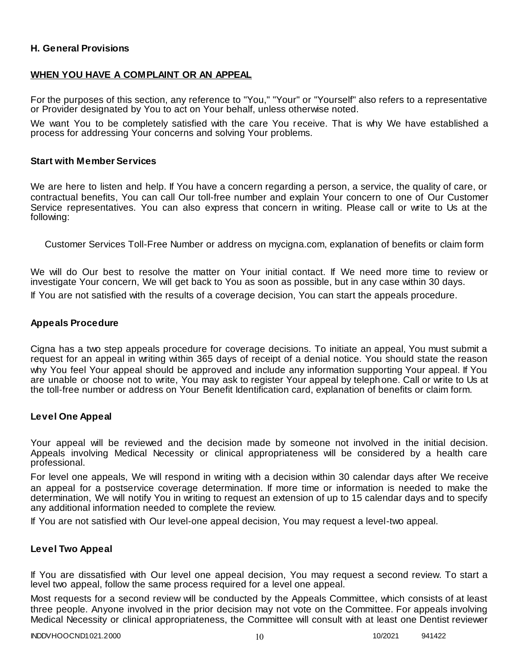### **H. General Provisions**

### **WHEN YOU HAVE A COMPLAINT OR AN APPEAL**

For the purposes of this section, any reference to "You," "Your" or "Yourself" also refers to a representative or Provider designated by You to act on Your behalf, unless otherwise noted.

We want You to be completely satisfied with the care You receive. That is why We have established a process for addressing Your concerns and solving Your problems.

#### **Start with Member Services**

We are here to listen and help. If You have a concern regarding a person, a service, the quality of care, or contractual benefits, You can call Our toll-free number and explain Your concern to one of Our Customer Service representatives. You can also express that concern in writing. Please call or write to Us at the following:

Customer Services Toll-Free Number or address on mycigna.com, explanation of benefits or claim form

We will do Our best to resolve the matter on Your initial contact. If We need more time to review or investigate Your concern, We will get back to You as soon as possible, but in any case within 30 days.

If You are not satisfied with the results of a coverage decision, You can start the appeals procedure.

#### **Appeals Procedure**

Cigna has a two step appeals procedure for coverage decisions. To initiate an appeal, You must submit a request for an appeal in writing within 365 days of receipt of a denial notice. You should state the reason why You feel Your appeal should be approved and include any information supporting Your appeal. If You are unable or choose not to write, You may ask to register Your appeal by teleph one. Call or write to Us at the toll-free number or address on Your Benefit Identification card, explanation of benefits or claim form.

#### **Level One Appeal**

Your appeal will be reviewed and the decision made by someone not involved in the initial decision. Appeals involving Medical Necessity or clinical appropriateness will be considered by a health care professional.

For level one appeals, We will respond in writing with a decision within 30 calendar days after We receive an appeal for a postservice coverage determination. If more time or information is needed to make the determination, We will notify You in writing to request an extension of up to 15 calendar days and to specify any additional information needed to complete the review.

If You are not satisfied with Our level-one appeal decision, You may request a level-two appeal.

#### **Level Two Appeal**

If You are dissatisfied with Our level one appeal decision, You may request a second review. To start a level two appeal, follow the same process required for a level one appeal.

Most requests for a second review will be conducted by the Appeals Committee, which consists of at least three people. Anyone involved in the prior decision may not vote on the Committee. For appeals involving Medical Necessity or clinical appropriateness, the Committee will consult with at least one Dentist reviewer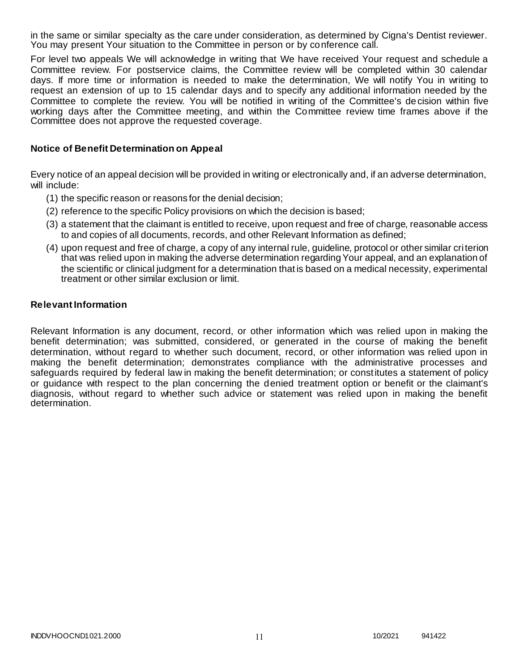in the same or similar specialty as the care under consideration, as determined by Cigna's Dentist reviewer. You may present Your situation to the Committee in person or by conference call.

For level two appeals We will acknowledge in writing that We have received Your request and schedule a Committee review. For postservice claims, the Committee review will be completed within 30 calendar days. If more time or information is needed to make the determination, We will notify You in writing to request an extension of up to 15 calendar days and to specify any additional information needed by the Committee to complete the review. You will be notified in writing of the Committee's decision within five working days after the Committee meeting, and within the Committee review time frames above if the Committee does not approve the requested coverage.

### **Notice of Benefit Determination on Appeal**

Every notice of an appeal decision will be provided in writing or electronically and, if an adverse determination, will include:

- (1) the specific reason or reasons for the denial decision;
- (2) reference to the specific Policy provisions on which the decision is based;
- (3) a statement that the claimant is entitled to receive, upon request and free of charge, reasonable access to and copies of all documents, records, and other Relevant Information as defined;
- (4) upon request and free of charge, a copy of any internal rule, guideline, protocol or other similar criterion that was relied upon in making the adverse determination regarding Your appeal, and an explanation of the scientific or clinical judgment for a determination that is based on a medical necessity, experimental treatment or other similar exclusion or limit.

#### **Relevant Information**

Relevant Information is any document, record, or other information which was relied upon in making the benefit determination; was submitted, considered, or generated in the course of making the benefit determination, without regard to whether such document, record, or other information was relied upon in making the benefit determination; demonstrates compliance with the administrative processes and safeguards required by federal law in making the benefit determination; or constitutes a statement of policy or guidance with respect to the plan concerning the denied treatment option or benefit or the claimant's diagnosis, without regard to whether such advice or statement was relied upon in making the benefit determination.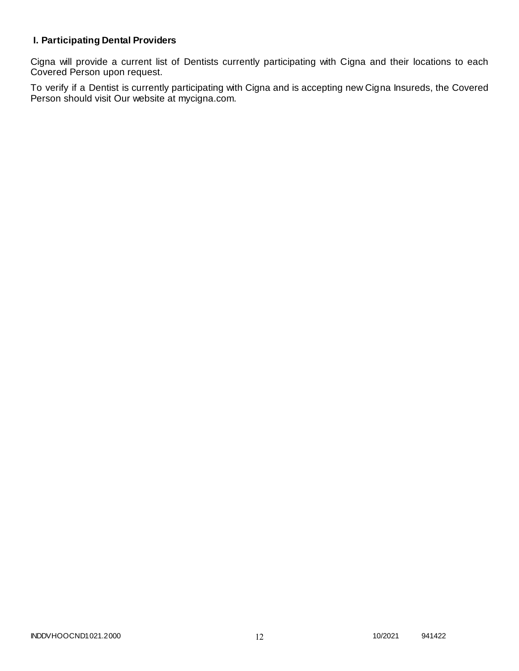# **I. Participating Dental Providers**

Cigna will provide a current list of Dentists currently participating with Cigna and their locations to each Covered Person upon request.

To verify if a Dentist is currently participating with Cigna and is accepting new Cigna Insureds, the Covered Person should visit Our website at mycigna.com.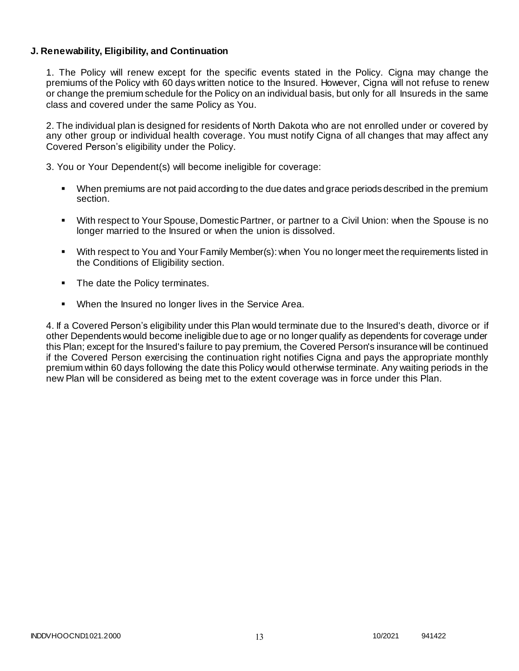### **J. Renewability, Eligibility, and Continuation**

1. The Policy will renew except for the specific events stated in the Policy. Cigna may change the premiums of the Policy with 60 days written notice to the Insured. However, Cigna will not refuse to renew or change the premium schedule for the Policy on an individual basis, but only for all Insureds in the same class and covered under the same Policy as You.

2. The individual plan is designed for residents of North Dakota who are not enrolled under or covered by any other group or individual health coverage. You must notify Cigna of all changes that may affect any Covered Person's eligibility under the Policy.

3. You or Your Dependent(s) will become ineligible for coverage:

- When premiums are not paid according to the due dates and grace periods described in the premium section.
- With respect to Your Spouse, Domestic Partner, or partner to a Civil Union: when the Spouse is no longer married to the Insured or when the union is dissolved.
- With respect to You and Your Family Member(s): when You no longer meet the requirements listed in the Conditions of Eligibility section.
- The date the Policy terminates.
- When the Insured no longer lives in the Service Area.

4. If a Covered Person's eligibility under this Plan would terminate due to the Insured's death, divorce or if other Dependents would become ineligible due to age or no longer qualify as dependents for coverage under this Plan; except for the Insured's failure to pay premium, the Covered Person's insurance will be continued if the Covered Person exercising the continuation right notifies Cigna and pays the appropriate monthly premium within 60 days following the date this Policy would otherwise terminate. Any waiting periods in the new Plan will be considered as being met to the extent coverage was in force under this Plan.